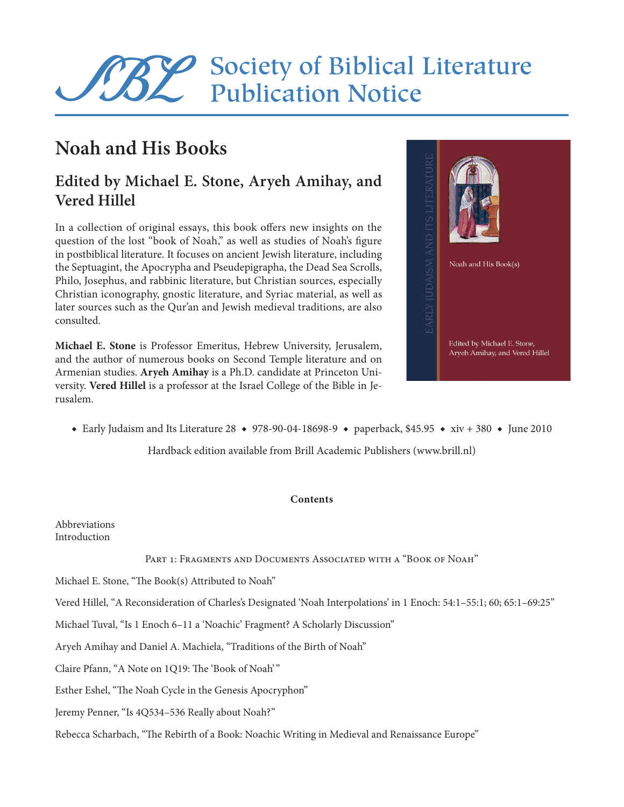# Society of Biblical Literature Publication Notice

## **Noah and His Books**

### **Edited by Michael E. Stone, Aryeh Amihay, and Vered Hillel**

In a collection of original essays, this book offers new insights on the question of the lost "book of Noah," as well as studies of Noah's figure in postbiblical literature. It focuses on ancient Jewish literature, including the Septuagint, the Apocrypha and Pseudepigrapha, the Dead Sea Scrolls, Philo, Josephus, and rabbinic literature, but Christian sources, especially Christian iconography, gnostic literature, and Syriac material, as well as later sources such as the Qur'an and Jewish medieval traditions, are also consulted.

**Michael E. Stone** is Professor Emeritus, Hebrew University, Jerusalem, and the author of numerous books on Second Temple literature and on Armenian studies. **Aryeh Amihay** is a Ph.D. candidate at Princeton University. **Vered Hillel** is a professor at the Israel College of the Bible in Jerusalem.



◆ Early Judaism and Its Literature 28 ◆ 978-90-04-18698-9 ◆ paperback, \$45.95 ◆ xiv + 380 ◆ June 2010

Hardback edition available from Brill Academic Publishers (www.brill.nl)

#### **Contents**

Abbreviations Introduction

PART 1: FRAGMENTS AND DOCUMENTS ASSOCIATED WITH A "BOOK OF NOAH"

Michael E. Stone, "The Book(s) Attributed to Noah"

Vered Hillel, "A Reconsideration of Charles's Designated 'Noah Interpolations' in 1 Enoch: 54:1–55:1; 60; 65:1–69:25"

Michael Tuval, "Is 1 Enoch 6–11 a 'Noachic' Fragment? A Scholarly Discussion"

Aryeh Amihay and Daniel A. Machiela, "Traditions of the Birth of Noah"

Claire Pfann, "A Note on 1Q19: The 'Book of Noah' "

Esther Eshel, "The Noah Cycle in the Genesis Apocryphon"

Jeremy Penner, "Is 4Q534–536 Really about Noah?"

Rebecca Scharbach, "The Rebirth of a Book: Noachic Writing in Medieval and Renaissance Europe"